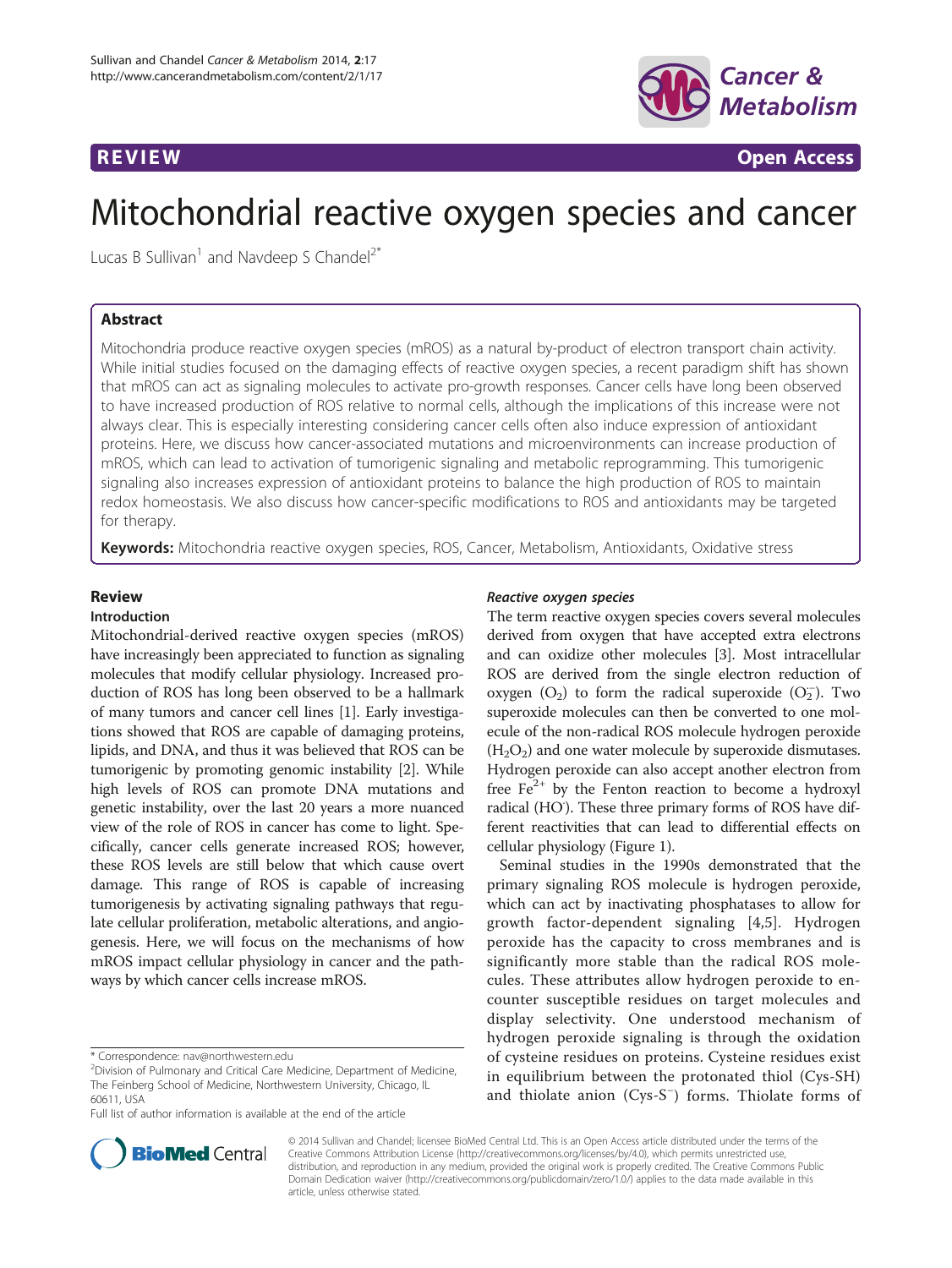# $\mathbf{P}_\text{R}$  . The contract of the contract of the contract of the contract of the contract of the contract of the contract of the contract of the contract of the contract of the contract of the contract of the contract



# Mitochondrial reactive oxygen species and cancer

Lucas B Sullivan<sup>1</sup> and Navdeep S Chandel<sup>2\*</sup>

Mitochondria produce reactive oxygen species (mROS) as a natural by-product of electron transport chain activity. While initial studies focused on the damaging effects of reactive oxygen species, a recent paradigm shift has shown that mROS can act as signaling molecules to activate pro-growth responses. Cancer cells have long been observed to have increased production of ROS relative to normal cells, although the implications of this increase were not always clear. This is especially interesting considering cancer cells often also induce expression of antioxidant proteins. Here, we discuss how cancer-associated mutations and microenvironments can increase production of mROS, which can lead to activation of tumorigenic signaling and metabolic reprogramming. This tumorigenic signaling also increases expression of antioxidant proteins to balance the high production of ROS to maintain redox homeostasis. We also discuss how cancer-specific modifications to ROS and antioxidants may be targeted for therapy.

Keywords: Mitochondria reactive oxygen species, ROS, Cancer, Metabolism, Antioxidants, Oxidative stress

# **Review**

# Introduction

Mitochondrial-derived reactive oxygen species (mROS) have increasingly been appreciated to function as signaling molecules that modify cellular physiology. Increased production of ROS has long been observed to be a hallmark of many tumors and cancer cell lines [\[1](#page-8-0)]. Early investigations showed that ROS are capable of damaging proteins, lipids, and DNA, and thus it was believed that ROS can be tumorigenic by promoting genomic instability [\[2](#page-8-0)]. While high levels of ROS can promote DNA mutations and genetic instability, over the last 20 years a more nuanced view of the role of ROS in cancer has come to light. Specifically, cancer cells generate increased ROS; however, these ROS levels are still below that which cause overt damage. This range of ROS is capable of increasing tumorigenesis by activating signaling pathways that regulate cellular proliferation, metabolic alterations, and angiogenesis. Here, we will focus on the mechanisms of how mROS impact cellular physiology in cancer and the pathways by which cancer cells increase mROS.

# Reactive oxygen species

The term reactive oxygen species covers several molecules derived from oxygen that have accepted extra electrons and can oxidize other molecules [\[3](#page-8-0)]. Most intracellular ROS are derived from the single electron reduction of oxygen  $(O_2)$  to form the radical superoxide  $(O_2^-)$ . Two superoxide molecules can then be converted to one molecule of the non-radical ROS molecule hydrogen peroxide  $(H<sub>2</sub>O<sub>2</sub>)$  and one water molecule by superoxide dismutases. Hydrogen peroxide can also accept another electron from free  $Fe<sup>2+</sup>$  by the Fenton reaction to become a hydroxyl radical (HO). These three primary forms of ROS have different reactivities that can lead to differential effects on cellular physiology (Figure [1](#page-1-0)).

Seminal studies in the 1990s demonstrated that the primary signaling ROS molecule is hydrogen peroxide, which can act by inactivating phosphatases to allow for growth factor-dependent signaling [[4,5\]](#page-8-0). Hydrogen peroxide has the capacity to cross membranes and is significantly more stable than the radical ROS molecules. These attributes allow hydrogen peroxide to encounter susceptible residues on target molecules and display selectivity. One understood mechanism of hydrogen peroxide signaling is through the oxidation of cysteine residues on proteins. Cysteine residues exist in equilibrium between the protonated thiol (Cys-SH) and thiolate anion (Cys-S<sup>−</sup> ) forms. Thiolate forms of



© 2014 Sullivan and Chandel; licensee BioMed Central Ltd. This is an Open Access article distributed under the terms of the Creative Commons Attribution License (<http://creativecommons.org/licenses/by/4.0>), which permits unrestricted use, distribution, and reproduction in any medium, provided the original work is properly credited. The Creative Commons Public Domain Dedication waiver [\(http://creativecommons.org/publicdomain/zero/1.0/\)](http://creativecommons.org/publicdomain/zero/1.0/) applies to the data made available in this article, unless otherwise stated.

<sup>\*</sup> Correspondence: [nav@northwestern.edu](mailto:nav@northwestern.edu) <sup>2</sup>

Division of Pulmonary and Critical Care Medicine, Department of Medicine, The Feinberg School of Medicine, Northwestern University, Chicago, IL 60611, USA

Full list of author information is available at the end of the article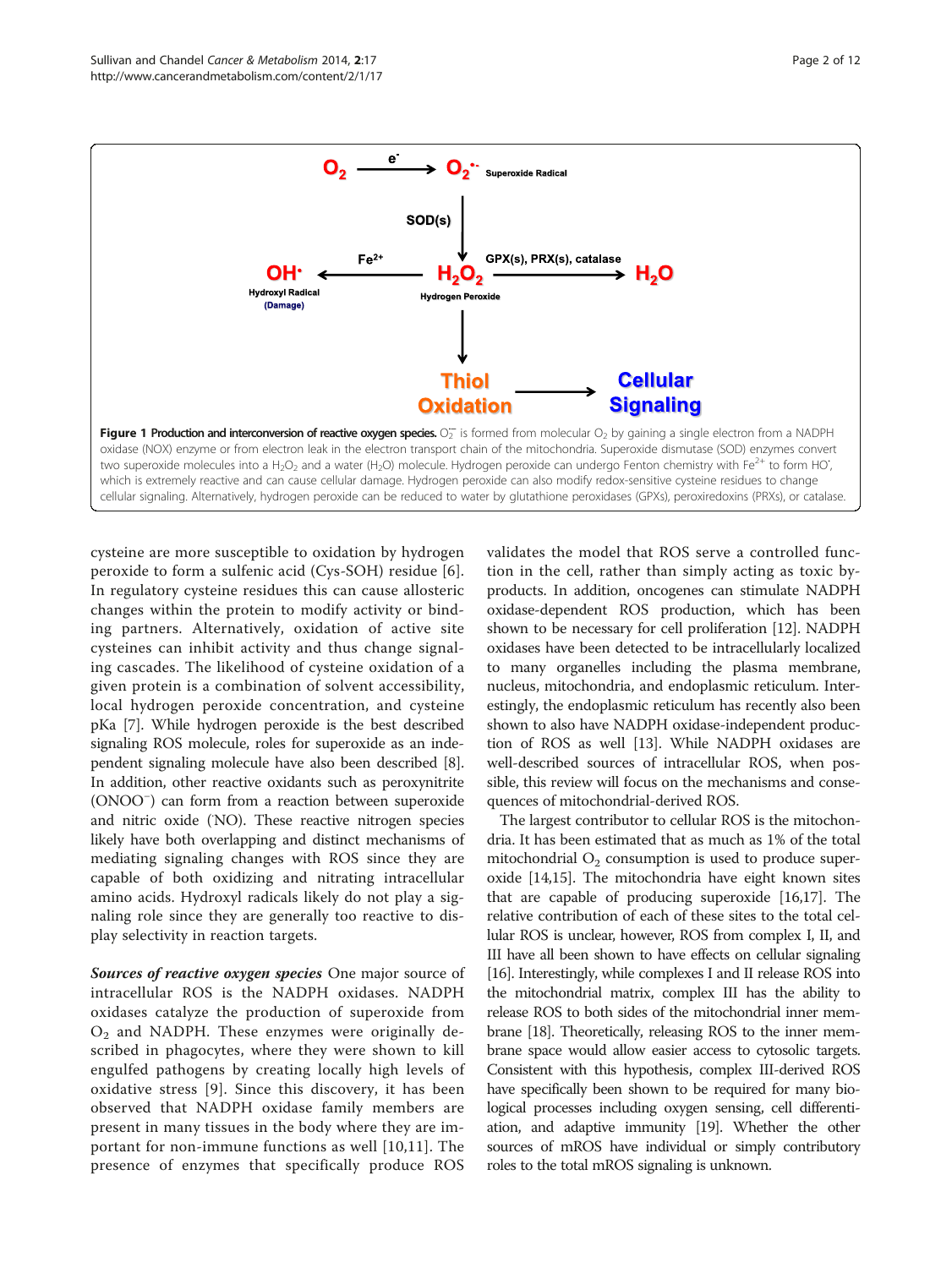<span id="page-1-0"></span>

two superoxide molecules into a H<sub>2</sub>O<sub>2</sub> and a water (H<sub>2</sub>O) molecule. Hydrogen peroxide can undergo Fenton chemistry with Fe<sup>2+</sup> to form HO<sup>\*</sup>, , which is extremely reactive and can cause cellular damage. Hydrogen peroxide can also modify redox-sensitive cysteine residues to change cellular signaling. Alternatively, hydrogen peroxide can be reduced to water by glutathione peroxidases (GPXs), peroxiredoxins (PRXs), or catalase.

cysteine are more susceptible to oxidation by hydrogen peroxide to form a sulfenic acid (Cys-SOH) residue [[6](#page-9-0)]. In regulatory cysteine residues this can cause allosteric changes within the protein to modify activity or binding partners. Alternatively, oxidation of active site cysteines can inhibit activity and thus change signaling cascades. The likelihood of cysteine oxidation of a given protein is a combination of solvent accessibility, local hydrogen peroxide concentration, and cysteine pKa [\[7](#page-9-0)]. While hydrogen peroxide is the best described signaling ROS molecule, roles for superoxide as an independent signaling molecule have also been described [[8](#page-9-0)]. In addition, other reactive oxidants such as peroxynitrite (ONOO<sup>−</sup> ) can form from a reaction between superoxide and nitric oxide (NO). These reactive nitrogen species likely have both overlapping and distinct mechanisms of mediating signaling changes with ROS since they are capable of both oxidizing and nitrating intracellular amino acids. Hydroxyl radicals likely do not play a signaling role since they are generally too reactive to display selectivity in reaction targets.

**Sources of reactive oxygen species** One major source of intracellular ROS is the NADPH oxidases. NADPH oxidases catalyze the production of superoxide from  $O<sub>2</sub>$  and NADPH. These enzymes were originally described in phagocytes, where they were shown to kill engulfed pathogens by creating locally high levels of oxidative stress [\[9\]](#page-9-0). Since this discovery, it has been observed that NADPH oxidase family members are present in many tissues in the body where they are important for non-immune functions as well [[10,11](#page-9-0)]. The presence of enzymes that specifically produce ROS

validates the model that ROS serve a controlled function in the cell, rather than simply acting as toxic byproducts. In addition, oncogenes can stimulate NADPH oxidase-dependent ROS production, which has been shown to be necessary for cell proliferation [\[12\]](#page-9-0). NADPH oxidases have been detected to be intracellularly localized to many organelles including the plasma membrane, nucleus, mitochondria, and endoplasmic reticulum. Interestingly, the endoplasmic reticulum has recently also been shown to also have NADPH oxidase-independent production of ROS as well [\[13\]](#page-9-0). While NADPH oxidases are well-described sources of intracellular ROS, when possible, this review will focus on the mechanisms and consequences of mitochondrial-derived ROS.

The largest contributor to cellular ROS is the mitochondria. It has been estimated that as much as 1% of the total mitochondrial  $O_2$  consumption is used to produce superoxide [[14,15](#page-9-0)]. The mitochondria have eight known sites that are capable of producing superoxide [[16,17\]](#page-9-0). The relative contribution of each of these sites to the total cellular ROS is unclear, however, ROS from complex I, II, and III have all been shown to have effects on cellular signaling [[16\]](#page-9-0). Interestingly, while complexes I and II release ROS into the mitochondrial matrix, complex III has the ability to release ROS to both sides of the mitochondrial inner membrane [\[18](#page-9-0)]. Theoretically, releasing ROS to the inner membrane space would allow easier access to cytosolic targets. Consistent with this hypothesis, complex III-derived ROS have specifically been shown to be required for many biological processes including oxygen sensing, cell differentiation, and adaptive immunity [\[19](#page-9-0)]. Whether the other sources of mROS have individual or simply contributory roles to the total mROS signaling is unknown.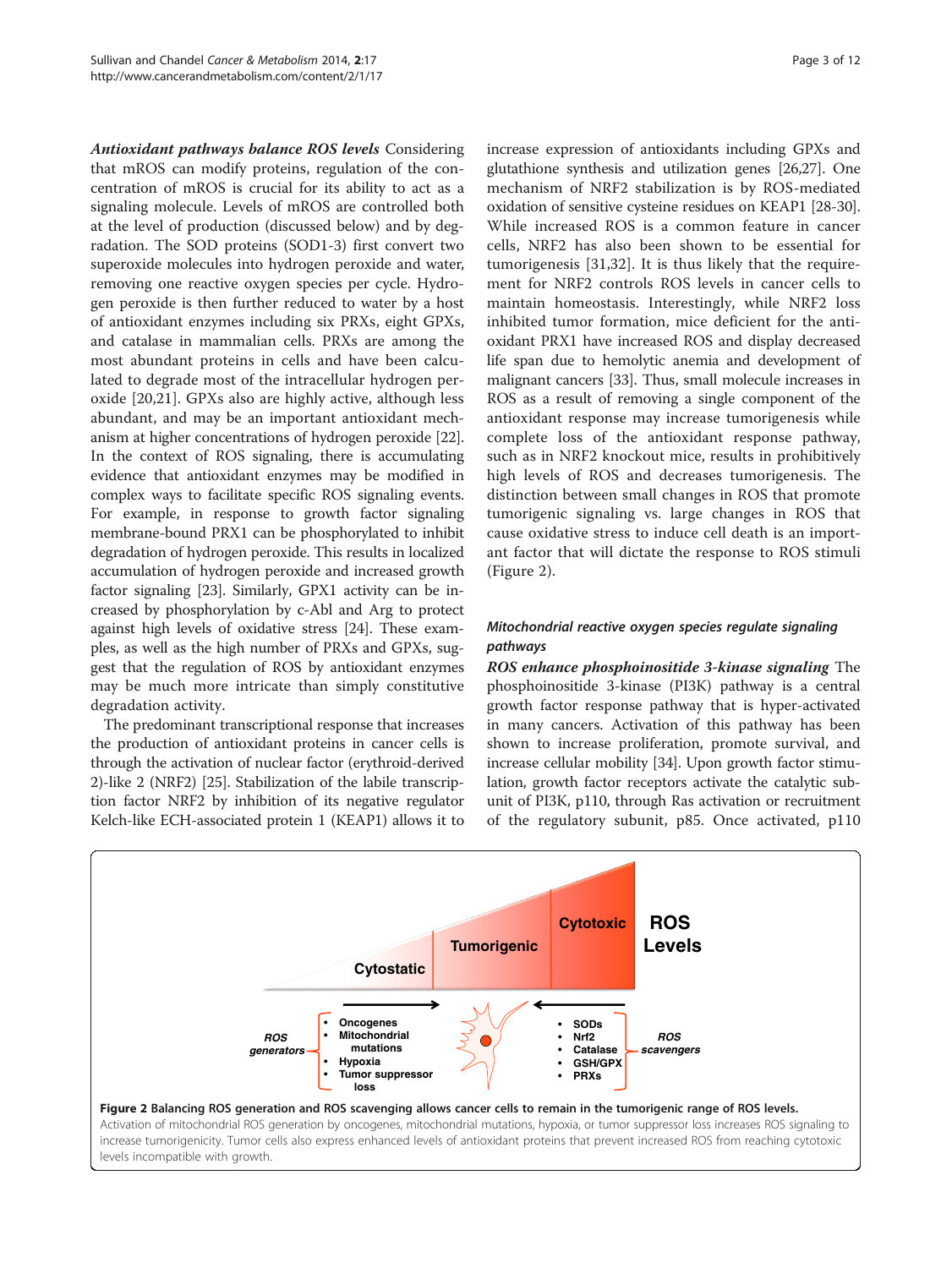Antioxidant pathways balance ROS levels Considering that mROS can modify proteins, regulation of the concentration of mROS is crucial for its ability to act as a signaling molecule. Levels of mROS are controlled both at the level of production (discussed below) and by degradation. The SOD proteins (SOD1-3) first convert two superoxide molecules into hydrogen peroxide and water, removing one reactive oxygen species per cycle. Hydrogen peroxide is then further reduced to water by a host of antioxidant enzymes including six PRXs, eight GPXs, and catalase in mammalian cells. PRXs are among the most abundant proteins in cells and have been calculated to degrade most of the intracellular hydrogen peroxide [[20,21\]](#page-9-0). GPXs also are highly active, although less abundant, and may be an important antioxidant mechanism at higher concentrations of hydrogen peroxide [[22](#page-9-0)]. In the context of ROS signaling, there is accumulating evidence that antioxidant enzymes may be modified in complex ways to facilitate specific ROS signaling events. For example, in response to growth factor signaling membrane-bound PRX1 can be phosphorylated to inhibit degradation of hydrogen peroxide. This results in localized accumulation of hydrogen peroxide and increased growth factor signaling [\[23](#page-9-0)]. Similarly, GPX1 activity can be increased by phosphorylation by c-Abl and Arg to protect against high levels of oxidative stress [\[24\]](#page-9-0). These examples, as well as the high number of PRXs and GPXs, suggest that the regulation of ROS by antioxidant enzymes may be much more intricate than simply constitutive degradation activity.

The predominant transcriptional response that increases the production of antioxidant proteins in cancer cells is through the activation of nuclear factor (erythroid-derived 2)-like 2 (NRF2) [\[25](#page-9-0)]. Stabilization of the labile transcription factor NRF2 by inhibition of its negative regulator Kelch-like ECH-associated protein 1 (KEAP1) allows it to increase expression of antioxidants including GPXs and glutathione synthesis and utilization genes [\[26,27](#page-9-0)]. One mechanism of NRF2 stabilization is by ROS-mediated oxidation of sensitive cysteine residues on KEAP1 [[28](#page-9-0)-[30](#page-9-0)]. While increased ROS is a common feature in cancer cells, NRF2 has also been shown to be essential for tumorigenesis [[31,32](#page-9-0)]. It is thus likely that the requirement for NRF2 controls ROS levels in cancer cells to maintain homeostasis. Interestingly, while NRF2 loss inhibited tumor formation, mice deficient for the antioxidant PRX1 have increased ROS and display decreased life span due to hemolytic anemia and development of malignant cancers [\[33\]](#page-9-0). Thus, small molecule increases in ROS as a result of removing a single component of the antioxidant response may increase tumorigenesis while complete loss of the antioxidant response pathway, such as in NRF2 knockout mice, results in prohibitively high levels of ROS and decreases tumorigenesis. The distinction between small changes in ROS that promote tumorigenic signaling vs. large changes in ROS that

# Mitochondrial reactive oxygen species regulate signaling pathways

cause oxidative stress to induce cell death is an important factor that will dictate the response to ROS stimuli

ROS enhance phosphoinositide 3-kinase signaling The phosphoinositide 3-kinase (PI3K) pathway is a central growth factor response pathway that is hyper-activated in many cancers. Activation of this pathway has been shown to increase proliferation, promote survival, and increase cellular mobility [[34](#page-9-0)]. Upon growth factor stimulation, growth factor receptors activate the catalytic subunit of PI3K, p110, through Ras activation or recruitment of the regulatory subunit, p85. Once activated, p110



(Figure 2).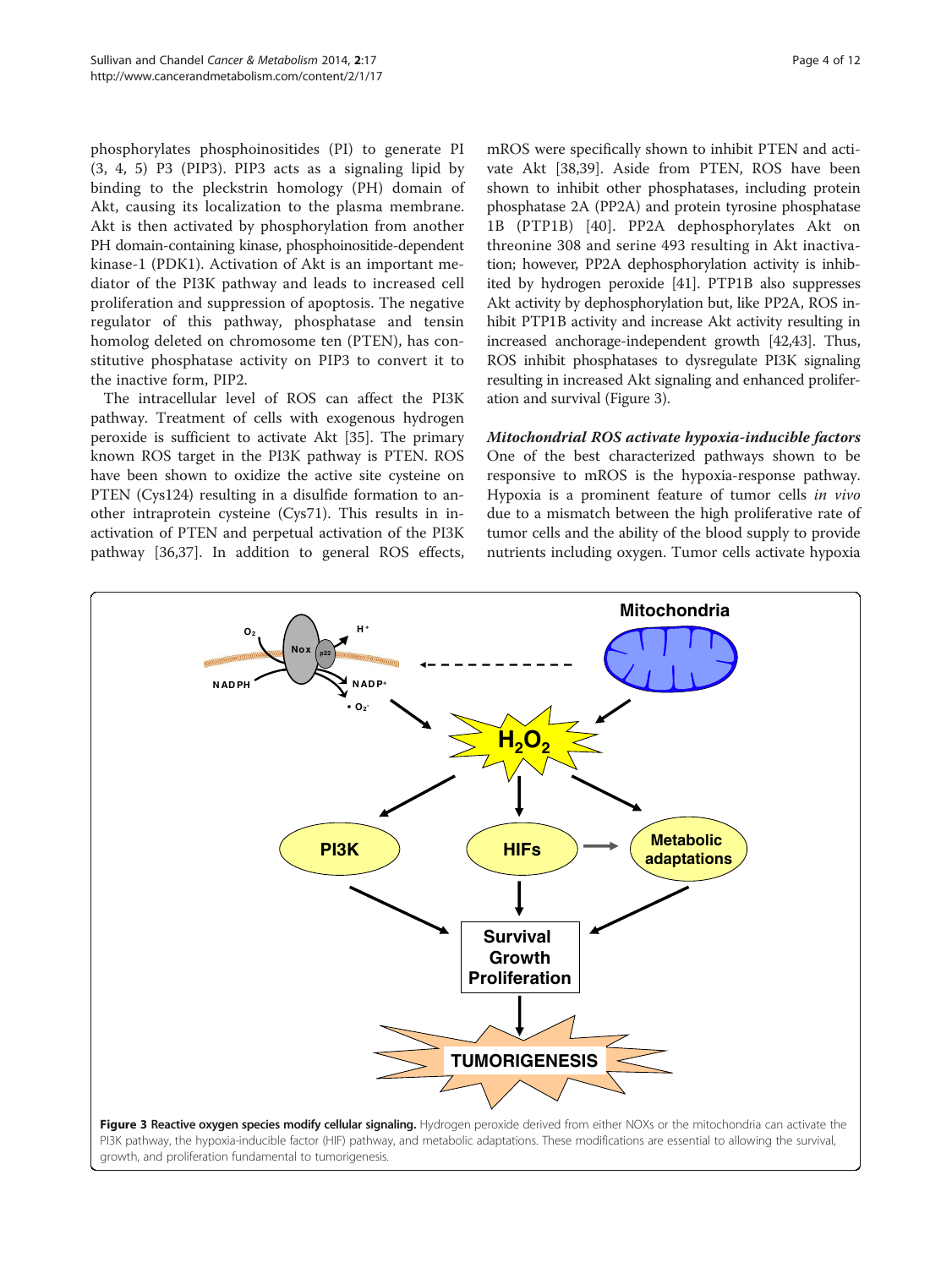<span id="page-3-0"></span>phosphorylates phosphoinositides (PI) to generate PI (3, 4, 5) P3 (PIP3). PIP3 acts as a signaling lipid by binding to the pleckstrin homology (PH) domain of Akt, causing its localization to the plasma membrane. Akt is then activated by phosphorylation from another PH domain-containing kinase, phosphoinositide-dependent kinase-1 (PDK1). Activation of Akt is an important mediator of the PI3K pathway and leads to increased cell proliferation and suppression of apoptosis. The negative regulator of this pathway, phosphatase and tensin homolog deleted on chromosome ten (PTEN), has constitutive phosphatase activity on PIP3 to convert it to the inactive form, PIP2.

The intracellular level of ROS can affect the PI3K pathway. Treatment of cells with exogenous hydrogen peroxide is sufficient to activate Akt [[35](#page-9-0)]. The primary known ROS target in the PI3K pathway is PTEN. ROS have been shown to oxidize the active site cysteine on PTEN (Cys124) resulting in a disulfide formation to another intraprotein cysteine (Cys71). This results in inactivation of PTEN and perpetual activation of the PI3K pathway [[36](#page-9-0),[37](#page-9-0)]. In addition to general ROS effects,

mROS were specifically shown to inhibit PTEN and activate Akt [[38,39\]](#page-9-0). Aside from PTEN, ROS have been shown to inhibit other phosphatases, including protein phosphatase 2A (PP2A) and protein tyrosine phosphatase 1B (PTP1B) [[40\]](#page-9-0). PP2A dephosphorylates Akt on threonine 308 and serine 493 resulting in Akt inactivation; however, PP2A dephosphorylation activity is inhibited by hydrogen peroxide [\[41](#page-9-0)]. PTP1B also suppresses Akt activity by dephosphorylation but, like PP2A, ROS inhibit PTP1B activity and increase Akt activity resulting in increased anchorage-independent growth [\[42,43](#page-9-0)]. Thus, ROS inhibit phosphatases to dysregulate PI3K signaling resulting in increased Akt signaling and enhanced proliferation and survival (Figure 3).

Mitochondrial ROS activate hypoxia-inducible factors One of the best characterized pathways shown to be responsive to mROS is the hypoxia-response pathway. Hypoxia is a prominent feature of tumor cells in vivo due to a mismatch between the high proliferative rate of tumor cells and the ability of the blood supply to provide nutrients including oxygen. Tumor cells activate hypoxia

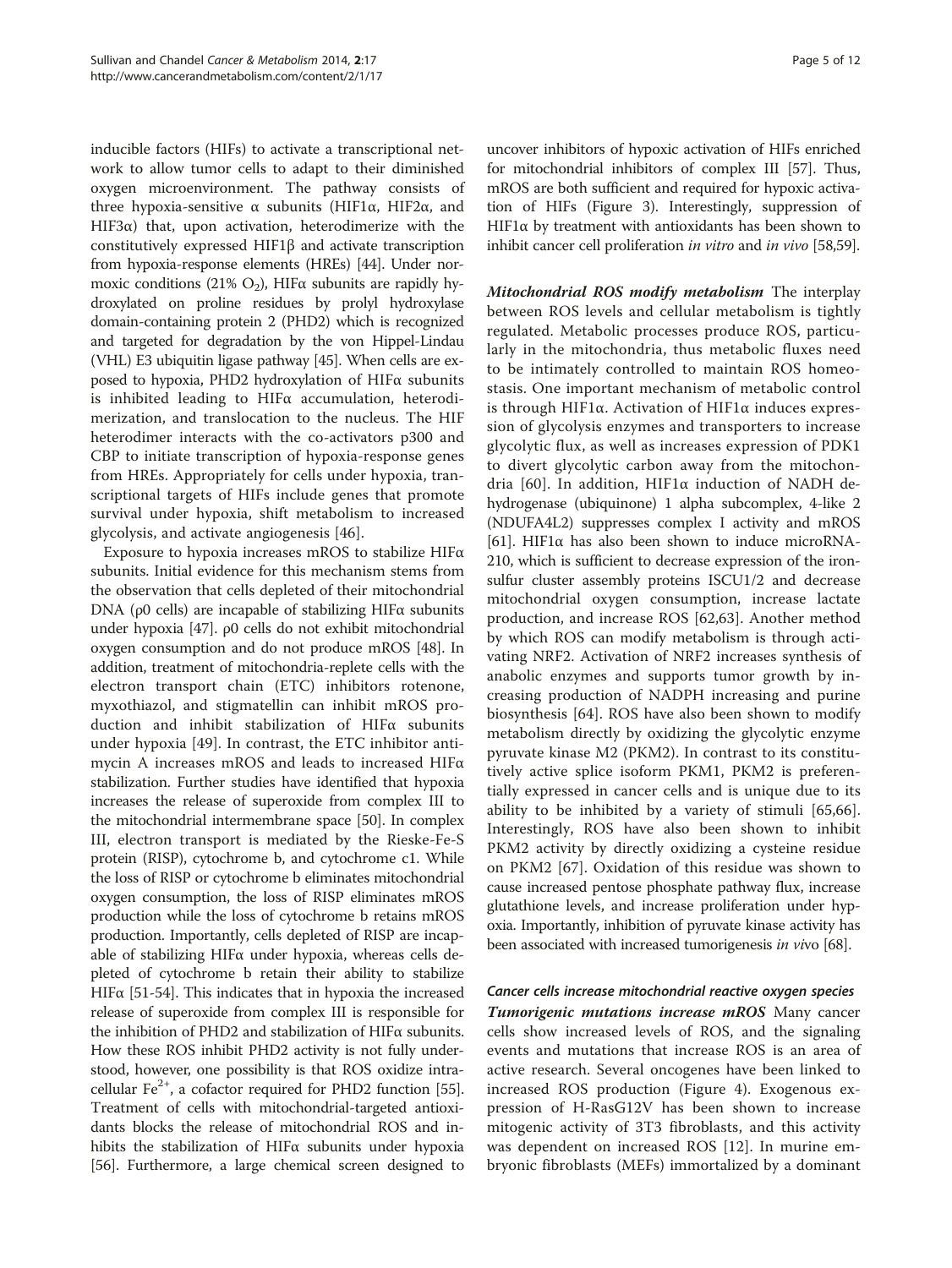inducible factors (HIFs) to activate a transcriptional network to allow tumor cells to adapt to their diminished oxygen microenvironment. The pathway consists of three hypoxia-sensitive α subunits (HIF1α, HIF2α, and HIF3α) that, upon activation, heterodimerize with the constitutively expressed HIF1β and activate transcription from hypoxia-response elements (HREs) [\[44\]](#page-9-0). Under normoxic conditions (21%  $O_2$ ), HIF $\alpha$  subunits are rapidly hydroxylated on proline residues by prolyl hydroxylase domain-containing protein 2 (PHD2) which is recognized and targeted for degradation by the von Hippel-Lindau (VHL) E3 ubiquitin ligase pathway [\[45\]](#page-9-0). When cells are exposed to hypoxia, PHD2 hydroxylation of HIFα subunits is inhibited leading to HIFα accumulation, heterodimerization, and translocation to the nucleus. The HIF heterodimer interacts with the co-activators p300 and CBP to initiate transcription of hypoxia-response genes from HREs. Appropriately for cells under hypoxia, transcriptional targets of HIFs include genes that promote survival under hypoxia, shift metabolism to increased glycolysis, and activate angiogenesis [[46\]](#page-9-0).

Exposure to hypoxia increases mROS to stabilize HIFα subunits. Initial evidence for this mechanism stems from the observation that cells depleted of their mitochondrial DNA (ρ0 cells) are incapable of stabilizing HIFα subunits under hypoxia [\[47\]](#page-9-0). ρ0 cells do not exhibit mitochondrial oxygen consumption and do not produce mROS [[48](#page-9-0)]. In addition, treatment of mitochondria-replete cells with the electron transport chain (ETC) inhibitors rotenone, myxothiazol, and stigmatellin can inhibit mROS production and inhibit stabilization of HIFα subunits under hypoxia [\[49](#page-9-0)]. In contrast, the ETC inhibitor antimycin A increases mROS and leads to increased HIFα stabilization. Further studies have identified that hypoxia increases the release of superoxide from complex III to the mitochondrial intermembrane space [\[50\]](#page-9-0). In complex III, electron transport is mediated by the Rieske-Fe-S protein (RISP), cytochrome b, and cytochrome c1. While the loss of RISP or cytochrome b eliminates mitochondrial oxygen consumption, the loss of RISP eliminates mROS production while the loss of cytochrome b retains mROS production. Importantly, cells depleted of RISP are incapable of stabilizing HIFα under hypoxia, whereas cells depleted of cytochrome b retain their ability to stabilize HIF $α$  [[51](#page-9-0)-[54\]](#page-9-0). This indicates that in hypoxia the increased release of superoxide from complex III is responsible for the inhibition of PHD2 and stabilization of HIFα subunits. How these ROS inhibit PHD2 activity is not fully understood, however, one possibility is that ROS oxidize intra-cellular Fe<sup>2+</sup>, a cofactor required for PHD2 function [[55](#page-10-0)]. Treatment of cells with mitochondrial-targeted antioxidants blocks the release of mitochondrial ROS and inhibits the stabilization of HIFα subunits under hypoxia [[56](#page-10-0)]. Furthermore, a large chemical screen designed to

uncover inhibitors of hypoxic activation of HIFs enriched for mitochondrial inhibitors of complex III [[57\]](#page-10-0). Thus, mROS are both sufficient and required for hypoxic activation of HIFs (Figure [3\)](#page-3-0). Interestingly, suppression of HIF1 $\alpha$  by treatment with antioxidants has been shown to inhibit cancer cell proliferation in vitro and in vivo [[58,59\]](#page-10-0).

Mitochondrial ROS modify metabolism The interplay between ROS levels and cellular metabolism is tightly regulated. Metabolic processes produce ROS, particularly in the mitochondria, thus metabolic fluxes need to be intimately controlled to maintain ROS homeostasis. One important mechanism of metabolic control is through HIF1α. Activation of HIF1α induces expression of glycolysis enzymes and transporters to increase glycolytic flux, as well as increases expression of PDK1 to divert glycolytic carbon away from the mitochondria [[60](#page-10-0)]. In addition, HIF1α induction of NADH dehydrogenase (ubiquinone) 1 alpha subcomplex, 4-like 2 (NDUFA4L2) suppresses complex I activity and mROS [[61](#page-10-0)]. HIF1α has also been shown to induce microRNA-210, which is sufficient to decrease expression of the ironsulfur cluster assembly proteins ISCU1/2 and decrease mitochondrial oxygen consumption, increase lactate production, and increase ROS [[62,63\]](#page-10-0). Another method by which ROS can modify metabolism is through activating NRF2. Activation of NRF2 increases synthesis of anabolic enzymes and supports tumor growth by increasing production of NADPH increasing and purine biosynthesis [[64\]](#page-10-0). ROS have also been shown to modify metabolism directly by oxidizing the glycolytic enzyme pyruvate kinase M2 (PKM2). In contrast to its constitutively active splice isoform PKM1, PKM2 is preferentially expressed in cancer cells and is unique due to its ability to be inhibited by a variety of stimuli [[65,66](#page-10-0)]. Interestingly, ROS have also been shown to inhibit PKM2 activity by directly oxidizing a cysteine residue on PKM2 [\[67](#page-10-0)]. Oxidation of this residue was shown to cause increased pentose phosphate pathway flux, increase glutathione levels, and increase proliferation under hypoxia. Importantly, inhibition of pyruvate kinase activity has been associated with increased tumorigenesis in vivo [\[68\]](#page-10-0).

# Cancer cells increase mitochondrial reactive oxygen species

**Tumorigenic mutations increase mROS** Many cancer cells show increased levels of ROS, and the signaling events and mutations that increase ROS is an area of active research. Several oncogenes have been linked to increased ROS production (Figure [4\)](#page-5-0). Exogenous expression of H-RasG12V has been shown to increase mitogenic activity of 3T3 fibroblasts, and this activity was dependent on increased ROS [[12\]](#page-9-0). In murine embryonic fibroblasts (MEFs) immortalized by a dominant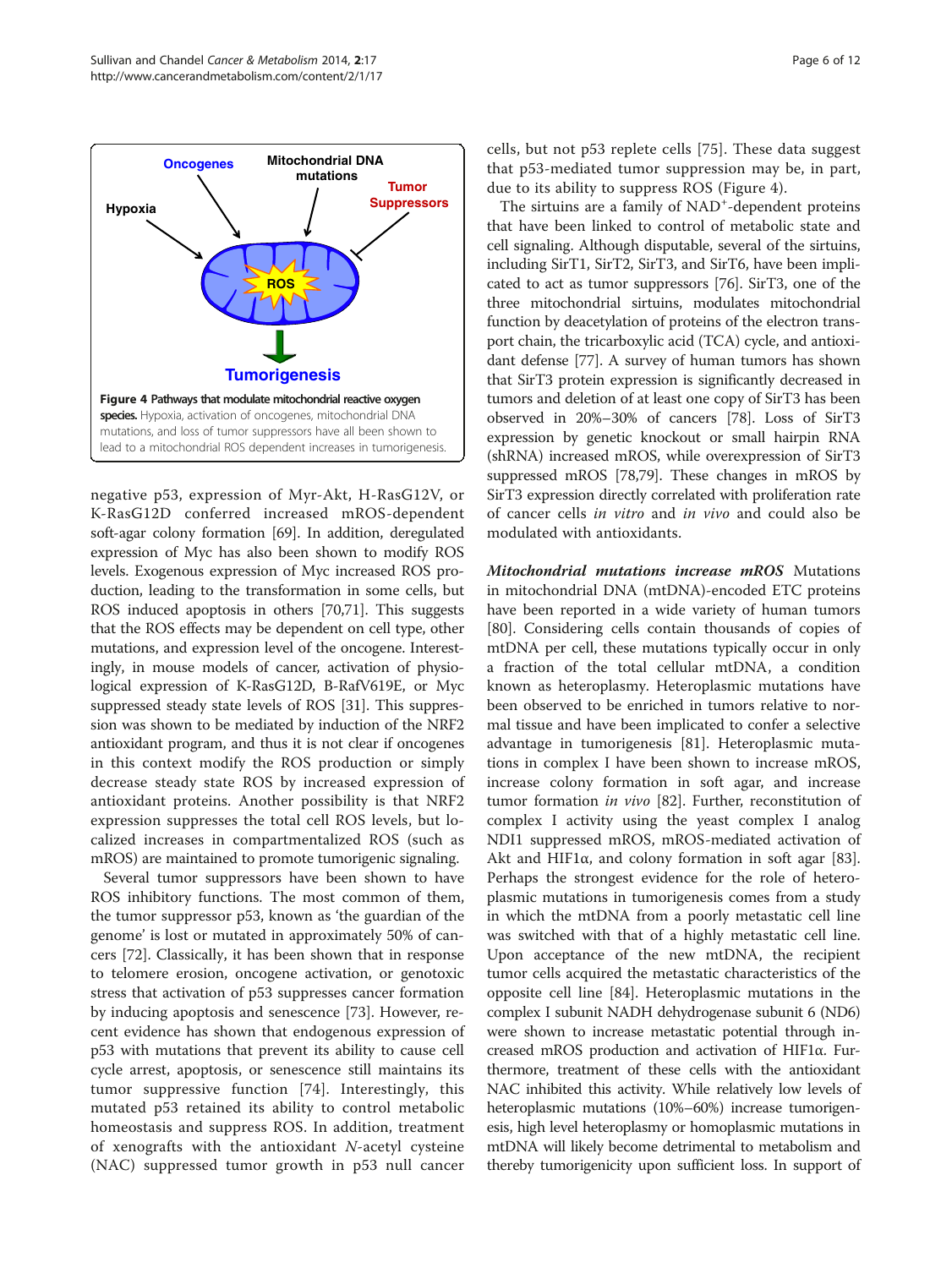<span id="page-5-0"></span>

negative p53, expression of Myr-Akt, H-RasG12V, or K-RasG12D conferred increased mROS-dependent soft-agar colony formation [\[69\]](#page-10-0). In addition, deregulated expression of Myc has also been shown to modify ROS levels. Exogenous expression of Myc increased ROS production, leading to the transformation in some cells, but ROS induced apoptosis in others [[70](#page-10-0),[71](#page-10-0)]. This suggests that the ROS effects may be dependent on cell type, other mutations, and expression level of the oncogene. Interestingly, in mouse models of cancer, activation of physiological expression of K-RasG12D, B-RafV619E, or Myc suppressed steady state levels of ROS [\[31](#page-9-0)]. This suppression was shown to be mediated by induction of the NRF2 antioxidant program, and thus it is not clear if oncogenes in this context modify the ROS production or simply decrease steady state ROS by increased expression of antioxidant proteins. Another possibility is that NRF2 expression suppresses the total cell ROS levels, but localized increases in compartmentalized ROS (such as mROS) are maintained to promote tumorigenic signaling.

Several tumor suppressors have been shown to have ROS inhibitory functions. The most common of them, the tumor suppressor p53, known as 'the guardian of the genome' is lost or mutated in approximately 50% of cancers [\[72](#page-10-0)]. Classically, it has been shown that in response to telomere erosion, oncogene activation, or genotoxic stress that activation of p53 suppresses cancer formation by inducing apoptosis and senescence [\[73](#page-10-0)]. However, recent evidence has shown that endogenous expression of p53 with mutations that prevent its ability to cause cell cycle arrest, apoptosis, or senescence still maintains its tumor suppressive function [[74\]](#page-10-0). Interestingly, this mutated p53 retained its ability to control metabolic homeostasis and suppress ROS. In addition, treatment of xenografts with the antioxidant N-acetyl cysteine (NAC) suppressed tumor growth in p53 null cancer

cells, but not p53 replete cells [\[75\]](#page-10-0). These data suggest that p53-mediated tumor suppression may be, in part, due to its ability to suppress ROS (Figure 4).

The sirtuins are a family of NAD<sup>+</sup>-dependent proteins that have been linked to control of metabolic state and cell signaling. Although disputable, several of the sirtuins, including SirT1, SirT2, SirT3, and SirT6, have been implicated to act as tumor suppressors [\[76\]](#page-10-0). SirT3, one of the three mitochondrial sirtuins, modulates mitochondrial function by deacetylation of proteins of the electron transport chain, the tricarboxylic acid (TCA) cycle, and antioxidant defense [\[77](#page-10-0)]. A survey of human tumors has shown that SirT3 protein expression is significantly decreased in tumors and deletion of at least one copy of SirT3 has been observed in 20%–30% of cancers [[78](#page-10-0)]. Loss of SirT3 expression by genetic knockout or small hairpin RNA (shRNA) increased mROS, while overexpression of SirT3 suppressed mROS [\[78,79](#page-10-0)]. These changes in mROS by SirT3 expression directly correlated with proliferation rate of cancer cells in vitro and in vivo and could also be modulated with antioxidants.

Mitochondrial mutations increase mROS Mutations in mitochondrial DNA (mtDNA)-encoded ETC proteins have been reported in a wide variety of human tumors [[80\]](#page-10-0). Considering cells contain thousands of copies of mtDNA per cell, these mutations typically occur in only a fraction of the total cellular mtDNA, a condition known as heteroplasmy. Heteroplasmic mutations have been observed to be enriched in tumors relative to normal tissue and have been implicated to confer a selective advantage in tumorigenesis [[81\]](#page-10-0). Heteroplasmic mutations in complex I have been shown to increase mROS, increase colony formation in soft agar, and increase tumor formation in vivo [\[82\]](#page-10-0). Further, reconstitution of complex I activity using the yeast complex I analog NDI1 suppressed mROS, mROS-mediated activation of Akt and HIF1 $\alpha$ , and colony formation in soft agar [\[83](#page-10-0)]. Perhaps the strongest evidence for the role of heteroplasmic mutations in tumorigenesis comes from a study in which the mtDNA from a poorly metastatic cell line was switched with that of a highly metastatic cell line. Upon acceptance of the new mtDNA, the recipient tumor cells acquired the metastatic characteristics of the opposite cell line [\[84](#page-10-0)]. Heteroplasmic mutations in the complex I subunit NADH dehydrogenase subunit 6 (ND6) were shown to increase metastatic potential through increased mROS production and activation of HIF1α. Furthermore, treatment of these cells with the antioxidant NAC inhibited this activity. While relatively low levels of heteroplasmic mutations (10%–60%) increase tumorigenesis, high level heteroplasmy or homoplasmic mutations in mtDNA will likely become detrimental to metabolism and thereby tumorigenicity upon sufficient loss. In support of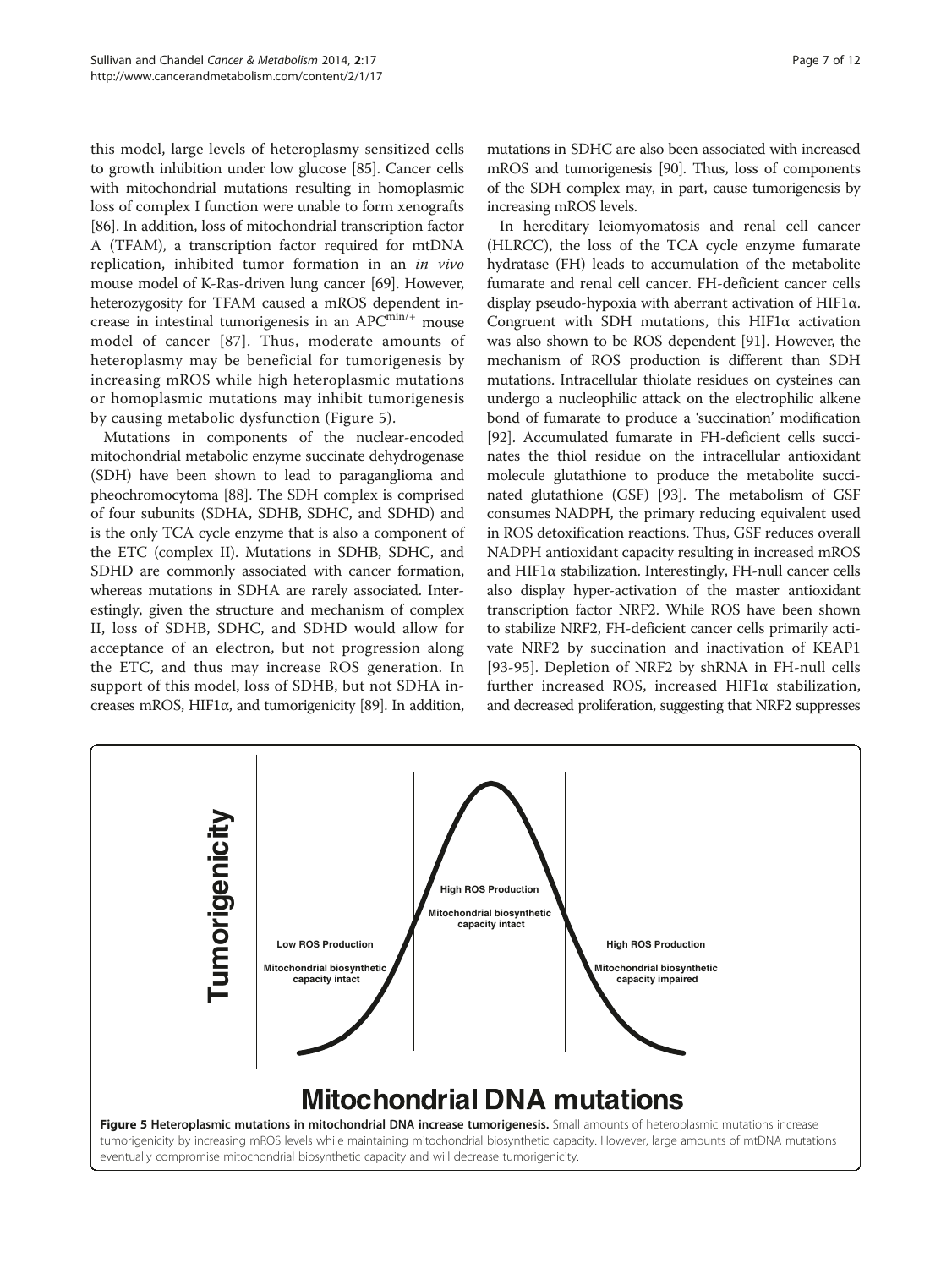this model, large levels of heteroplasmy sensitized cells to growth inhibition under low glucose [\[85\]](#page-10-0). Cancer cells with mitochondrial mutations resulting in homoplasmic loss of complex I function were unable to form xenografts [[86](#page-10-0)]. In addition, loss of mitochondrial transcription factor A (TFAM), a transcription factor required for mtDNA replication, inhibited tumor formation in an in vivo mouse model of K-Ras-driven lung cancer [\[69\]](#page-10-0). However, heterozygosity for TFAM caused a mROS dependent increase in intestinal tumorigenesis in an  $APC^{min/+}$  mouse model of cancer [[87](#page-10-0)]. Thus, moderate amounts of heteroplasmy may be beneficial for tumorigenesis by increasing mROS while high heteroplasmic mutations or homoplasmic mutations may inhibit tumorigenesis by causing metabolic dysfunction (Figure 5).

Mutations in components of the nuclear-encoded mitochondrial metabolic enzyme succinate dehydrogenase (SDH) have been shown to lead to paraganglioma and pheochromocytoma [\[88\]](#page-10-0). The SDH complex is comprised of four subunits (SDHA, SDHB, SDHC, and SDHD) and is the only TCA cycle enzyme that is also a component of the ETC (complex II). Mutations in SDHB, SDHC, and SDHD are commonly associated with cancer formation, whereas mutations in SDHA are rarely associated. Interestingly, given the structure and mechanism of complex II, loss of SDHB, SDHC, and SDHD would allow for acceptance of an electron, but not progression along the ETC, and thus may increase ROS generation. In support of this model, loss of SDHB, but not SDHA increases mROS, HIF1α, and tumorigenicity [\[89](#page-10-0)]. In addition, mutations in SDHC are also been associated with increased mROS and tumorigenesis [\[90\]](#page-10-0). Thus, loss of components of the SDH complex may, in part, cause tumorigenesis by increasing mROS levels.

In hereditary leiomyomatosis and renal cell cancer (HLRCC), the loss of the TCA cycle enzyme fumarate hydratase (FH) leads to accumulation of the metabolite fumarate and renal cell cancer. FH-deficient cancer cells display pseudo-hypoxia with aberrant activation of HIF1α. Congruent with SDH mutations, this HIF1α activation was also shown to be ROS dependent [[91](#page-10-0)]. However, the mechanism of ROS production is different than SDH mutations. Intracellular thiolate residues on cysteines can undergo a nucleophilic attack on the electrophilic alkene bond of fumarate to produce a 'succination' modification [[92](#page-10-0)]. Accumulated fumarate in FH-deficient cells succinates the thiol residue on the intracellular antioxidant molecule glutathione to produce the metabolite succinated glutathione (GSF) [[93](#page-10-0)]. The metabolism of GSF consumes NADPH, the primary reducing equivalent used in ROS detoxification reactions. Thus, GSF reduces overall NADPH antioxidant capacity resulting in increased mROS and HIF1α stabilization. Interestingly, FH-null cancer cells also display hyper-activation of the master antioxidant transcription factor NRF2. While ROS have been shown to stabilize NRF2, FH-deficient cancer cells primarily activate NRF2 by succination and inactivation of KEAP1 [[93-](#page-10-0)[95\]](#page-11-0). Depletion of NRF2 by shRNA in FH-null cells further increased ROS, increased HIF1α stabilization, and decreased proliferation, suggesting that NRF2 suppresses

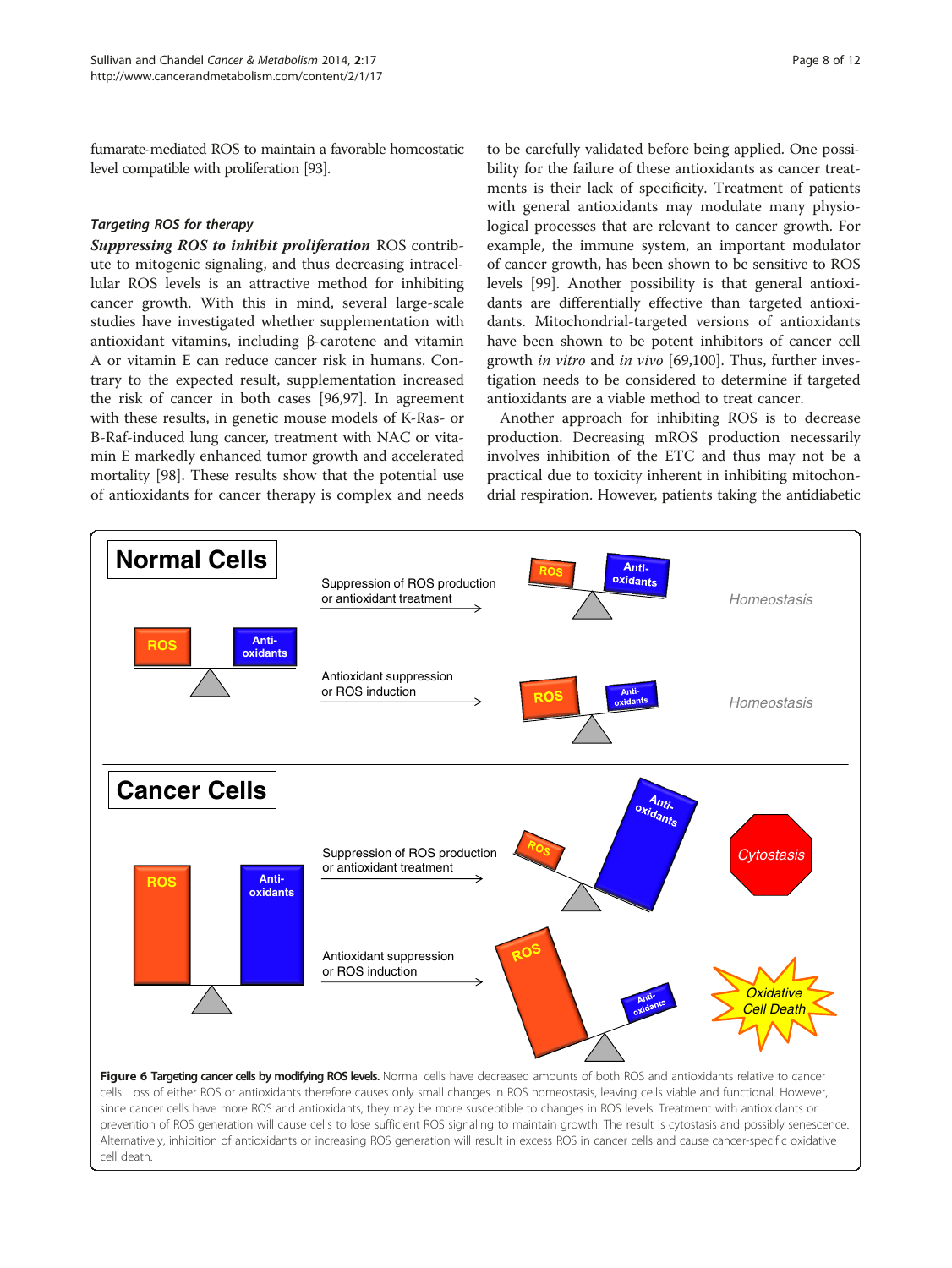<span id="page-7-0"></span>fumarate-mediated ROS to maintain a favorable homeostatic level compatible with proliferation [\[93\]](#page-10-0).

# Targeting ROS for therapy

**Normal Cells**

Suppressing ROS to inhibit proliferation ROS contribute to mitogenic signaling, and thus decreasing intracellular ROS levels is an attractive method for inhibiting cancer growth. With this in mind, several large-scale studies have investigated whether supplementation with antioxidant vitamins, including β-carotene and vitamin A or vitamin E can reduce cancer risk in humans. Contrary to the expected result, supplementation increased the risk of cancer in both cases [[96](#page-11-0),[97](#page-11-0)]. In agreement with these results, in genetic mouse models of K-Ras- or B-Raf-induced lung cancer, treatment with NAC or vitamin E markedly enhanced tumor growth and accelerated mortality [[98](#page-11-0)]. These results show that the potential use of antioxidants for cancer therapy is complex and needs

to be carefully validated before being applied. One possibility for the failure of these antioxidants as cancer treatments is their lack of specificity. Treatment of patients with general antioxidants may modulate many physiological processes that are relevant to cancer growth. For example, the immune system, an important modulator of cancer growth, has been shown to be sensitive to ROS levels [\[99\]](#page-11-0). Another possibility is that general antioxidants are differentially effective than targeted antioxidants. Mitochondrial-targeted versions of antioxidants have been shown to be potent inhibitors of cancer cell growth in vitro and in vivo [\[69](#page-10-0)[,100](#page-11-0)]. Thus, further inves-

antioxidants are a viable method to treat cancer. Another approach for inhibiting ROS is to decrease production. Decreasing mROS production necessarily involves inhibition of the ETC and thus may not be a practical due to toxicity inherent in inhibiting mitochondrial respiration. However, patients taking the antidiabetic

tigation needs to be considered to determine if targeted

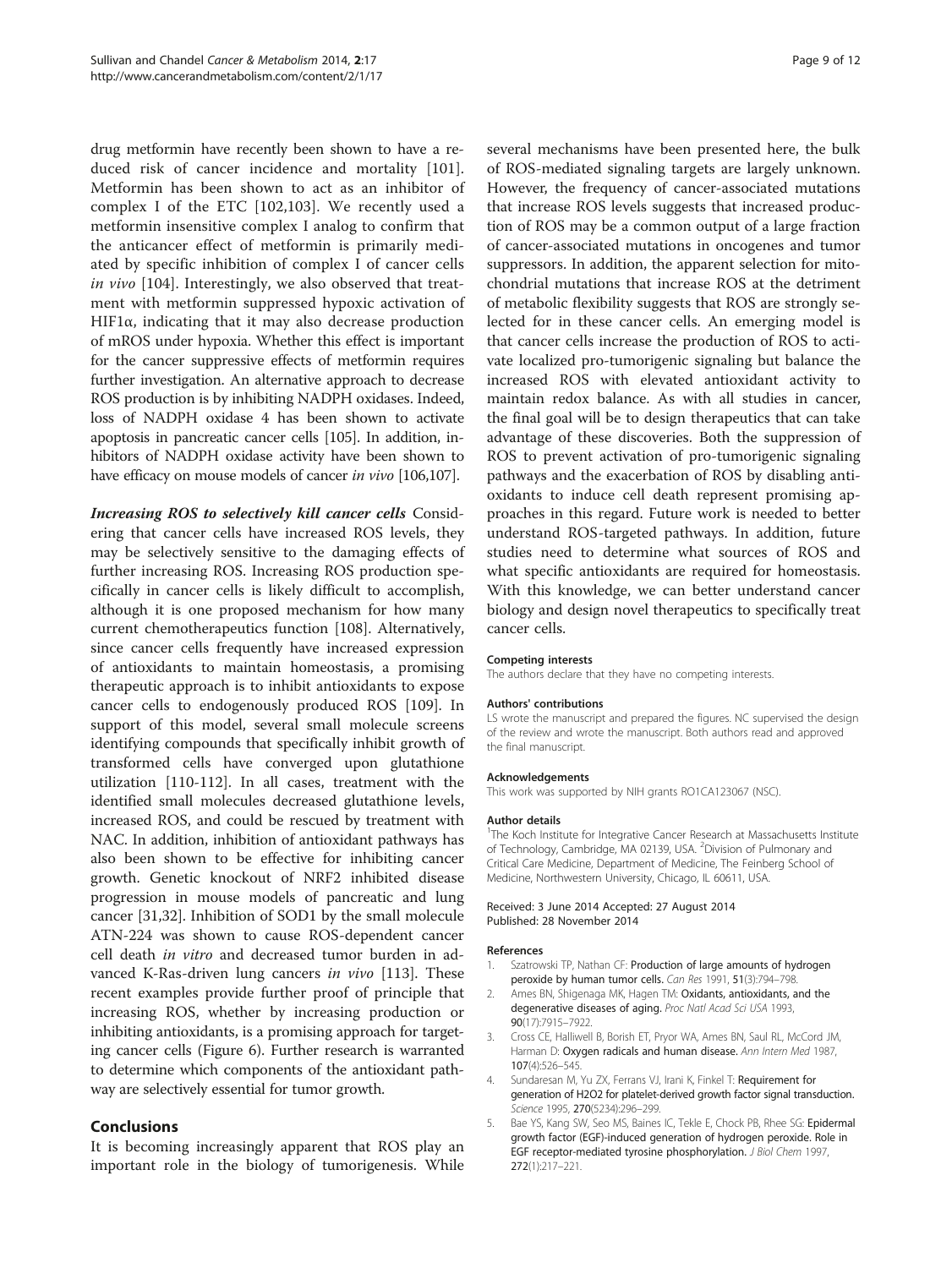<span id="page-8-0"></span>drug metformin have recently been shown to have a reduced risk of cancer incidence and mortality [\[101](#page-11-0)]. Metformin has been shown to act as an inhibitor of complex I of the ETC [[102,103\]](#page-11-0). We recently used a metformin insensitive complex I analog to confirm that the anticancer effect of metformin is primarily mediated by specific inhibition of complex I of cancer cells in vivo [[104\]](#page-11-0). Interestingly, we also observed that treatment with metformin suppressed hypoxic activation of HIF1α, indicating that it may also decrease production of mROS under hypoxia. Whether this effect is important for the cancer suppressive effects of metformin requires further investigation. An alternative approach to decrease ROS production is by inhibiting NADPH oxidases. Indeed, loss of NADPH oxidase 4 has been shown to activate apoptosis in pancreatic cancer cells [\[105](#page-11-0)]. In addition, inhibitors of NADPH oxidase activity have been shown to have efficacy on mouse models of cancer in vivo [\[106,107\]](#page-11-0).

Increasing ROS to selectively kill cancer cells Considering that cancer cells have increased ROS levels, they may be selectively sensitive to the damaging effects of further increasing ROS. Increasing ROS production specifically in cancer cells is likely difficult to accomplish, although it is one proposed mechanism for how many current chemotherapeutics function [\[108](#page-11-0)]. Alternatively, since cancer cells frequently have increased expression of antioxidants to maintain homeostasis, a promising therapeutic approach is to inhibit antioxidants to expose cancer cells to endogenously produced ROS [[109](#page-11-0)]. In support of this model, several small molecule screens identifying compounds that specifically inhibit growth of transformed cells have converged upon glutathione utilization [[110](#page-11-0)-[112\]](#page-11-0). In all cases, treatment with the identified small molecules decreased glutathione levels, increased ROS, and could be rescued by treatment with NAC. In addition, inhibition of antioxidant pathways has also been shown to be effective for inhibiting cancer growth. Genetic knockout of NRF2 inhibited disease progression in mouse models of pancreatic and lung cancer [\[31,32](#page-9-0)]. Inhibition of SOD1 by the small molecule ATN-224 was shown to cause ROS-dependent cancer cell death in vitro and decreased tumor burden in advanced K-Ras-driven lung cancers *in vivo* [[113](#page-11-0)]. These recent examples provide further proof of principle that increasing ROS, whether by increasing production or inhibiting antioxidants, is a promising approach for targeting cancer cells (Figure [6](#page-7-0)). Further research is warranted to determine which components of the antioxidant pathway are selectively essential for tumor growth.

It is becoming increasingly apparent that ROS play an important role in the biology of tumorigenesis. While

several mechanisms have been presented here, the bulk of ROS-mediated signaling targets are largely unknown. However, the frequency of cancer-associated mutations that increase ROS levels suggests that increased production of ROS may be a common output of a large fraction of cancer-associated mutations in oncogenes and tumor suppressors. In addition, the apparent selection for mitochondrial mutations that increase ROS at the detriment of metabolic flexibility suggests that ROS are strongly selected for in these cancer cells. An emerging model is that cancer cells increase the production of ROS to activate localized pro-tumorigenic signaling but balance the increased ROS with elevated antioxidant activity to maintain redox balance. As with all studies in cancer, the final goal will be to design therapeutics that can take advantage of these discoveries. Both the suppression of ROS to prevent activation of pro-tumorigenic signaling pathways and the exacerbation of ROS by disabling antioxidants to induce cell death represent promising approaches in this regard. Future work is needed to better understand ROS-targeted pathways. In addition, future studies need to determine what sources of ROS and what specific antioxidants are required for homeostasis. With this knowledge, we can better understand cancer biology and design novel therapeutics to specifically treat cancer cells.

## Competing interests

The authors declare that they have no competing interests.

## Authors' contributions

LS wrote the manuscript and prepared the figures. NC supervised the design of the review and wrote the manuscript. Both authors read and approved the final manuscript.

### Acknowledgements

This work was supported by NIH grants RO1CA123067 (NSC).

### Author details

<sup>1</sup>The Koch Institute for Integrative Cancer Research at Massachusetts Institute of Technology, Cambridge, MA 02139, USA. <sup>2</sup>Division of Pulmonary and Critical Care Medicine, Department of Medicine, The Feinberg School of Medicine, Northwestern University, Chicago, IL 60611, USA.

## Received: 3 June 2014 Accepted: 27 August 2014 Published: 28 November 2014

### References

- 1. Szatrowski TP, Nathan CF: Production of large amounts of hydrogen peroxide by human tumor cells. Can Res 1991, 51(3):794-798.
- 2. Ames BN, Shigenaga MK, Hagen TM: Oxidants, antioxidants, and the degenerative diseases of aging. Proc Natl Acad Sci USA 1993, 90(17):7915–7922.
- 3. Cross CE, Halliwell B, Borish ET, Pryor WA, Ames BN, Saul RL, McCord JM, Harman D: Oxygen radicals and human disease. Ann Intern Med 1987, 107(4):526–545.
- 4. Sundaresan M, Yu ZX, Ferrans VJ, Irani K, Finkel T: Requirement for generation of H2O2 for platelet-derived growth factor signal transduction. Science 1995, 270(5234):296–299.
- Bae YS, Kang SW, Seo MS, Baines IC, Tekle E, Chock PB, Rhee SG: Epidermal growth factor (EGF)-induced generation of hydrogen peroxide. Role in EGF receptor-mediated tyrosine phosphorylation. J Biol Chem 1997, 272(1):217–221.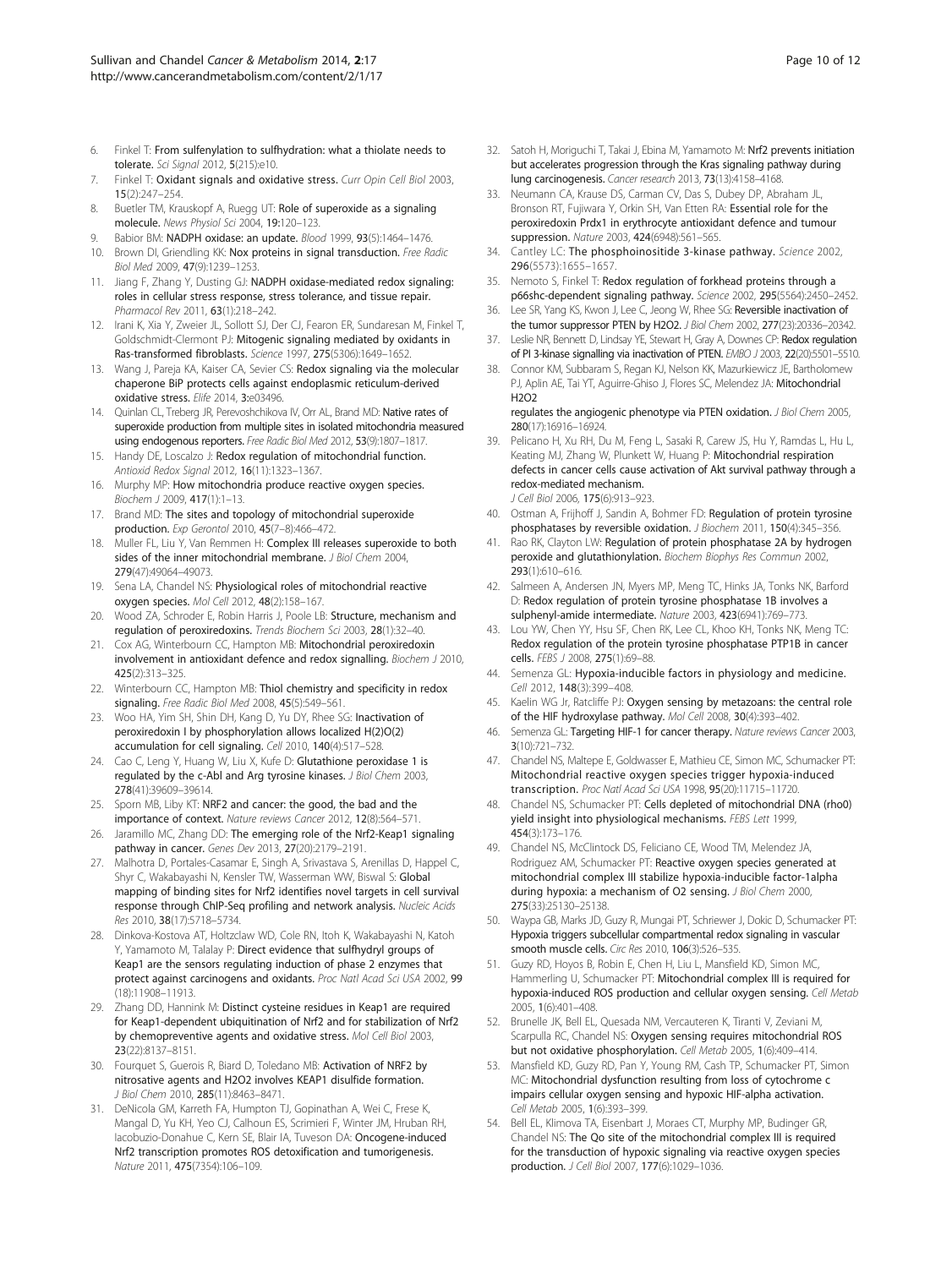- <span id="page-9-0"></span>6. Finkel T: From sulfenylation to sulfhydration: what a thiolate needs to tolerate. Sci Signal 2012, 5(215):e10.
- 7. Finkel T: Oxidant signals and oxidative stress. Curr Opin Cell Biol 2003, 15(2):247–254.
- 8. Buetler TM, Krauskopf A, Ruegg UT: Role of superoxide as a signaling molecule. News Physiol Sci 2004, 19:120–123.
- 9. Babior BM: NADPH oxidase: an update. Blood 1999, 93(5):1464–1476.
- 10. Brown DI, Griendling KK: Nox proteins in signal transduction. Free Radic Biol Med 2009, 47(9):1239–1253.
- 11. Jiang F, Zhang Y, Dusting GJ: NADPH oxidase-mediated redox signaling: roles in cellular stress response, stress tolerance, and tissue repair. Pharmacol Rev 2011, 63(1):218–242.
- 12. Irani K, Xia Y, Zweier JL, Sollott SJ, Der CJ, Fearon ER, Sundaresan M, Finkel T, Goldschmidt-Clermont PJ: Mitogenic signaling mediated by oxidants in Ras-transformed fibroblasts. Science 1997, 275(5306):1649–1652.
- 13. Wang J, Pareja KA, Kaiser CA, Sevier CS: Redox signaling via the molecular chaperone BiP protects cells against endoplasmic reticulum-derived oxidative stress. Elife 2014, 3:e03496.
- 14. Quinlan CL, Treberg JR, Perevoshchikova IV, Orr AL, Brand MD: Native rates of superoxide production from multiple sites in isolated mitochondria measured using endogenous reporters. Free Radic Biol Med 2012, 53(9):1807–1817.
- 15. Handy DE, Loscalzo J: Redox regulation of mitochondrial function. Antioxid Redox Signal 2012, 16(11):1323–1367.
- 16. Murphy MP: How mitochondria produce reactive oxygen species. Biochem J 2009, 417(1):1–13.
- 17. Brand MD: The sites and topology of mitochondrial superoxide production. Exp Gerontol 2010, 45(7–8):466–472.
- 18. Muller FL, Liu Y, Van Remmen H: Complex III releases superoxide to both sides of the inner mitochondrial membrane. J Biol Chem 2004, 279(47):49064–49073.
- 19. Sena LA, Chandel NS: Physiological roles of mitochondrial reactive oxygen species. Mol Cell 2012, 48(2):158–167.
- 20. Wood ZA, Schroder E, Robin Harris J, Poole LB: Structure, mechanism and regulation of peroxiredoxins. Trends Biochem Sci 2003, 28(1):32–40.
- 21. Cox AG, Winterbourn CC, Hampton MB: Mitochondrial peroxiredoxin involvement in antioxidant defence and redox signalling. Biochem J 2010, 425(2):313–325.
- 22. Winterbourn CC, Hampton MB: Thiol chemistry and specificity in redox signaling. Free Radic Biol Med 2008, 45(5):549–561.
- 23. Woo HA, Yim SH, Shin DH, Kang D, Yu DY, Rhee SG: Inactivation of peroxiredoxin I by phosphorylation allows localized H(2)O(2) accumulation for cell signaling. Cell 2010, 140(4):517–528.
- 24. Cao C, Leng Y, Huang W, Liu X, Kufe D: Glutathione peroxidase 1 is regulated by the c-Abl and Arg tyrosine kinases. J Biol Chem 2003, 278(41):39609–39614.
- 25. Sporn MB, Liby KT: NRF2 and cancer: the good, the bad and the importance of context. Nature reviews Cancer 2012, 12(8):564–571.
- 26. Jaramillo MC, Zhang DD: The emerging role of the Nrf2-Keap1 signaling pathway in cancer. Genes Dev 2013, 27(20):2179–2191.
- 27. Malhotra D, Portales-Casamar E, Singh A, Srivastava S, Arenillas D, Happel C, Shyr C, Wakabayashi N, Kensler TW, Wasserman WW, Biswal S: Global mapping of binding sites for Nrf2 identifies novel targets in cell survival response through ChIP-Seq profiling and network analysis. Nucleic Acids Res 2010, 38(17):5718–5734.
- 28. Dinkova-Kostova AT, Holtzclaw WD, Cole RN, Itoh K, Wakabayashi N, Katoh Y, Yamamoto M, Talalay P: Direct evidence that sulfhydryl groups of Keap1 are the sensors regulating induction of phase 2 enzymes that protect against carcinogens and oxidants. Proc Natl Acad Sci USA 2002, 99 (18):11908–11913.
- 29. Zhang DD, Hannink M: Distinct cysteine residues in Keap1 are required for Keap1-dependent ubiquitination of Nrf2 and for stabilization of Nrf2 by chemopreventive agents and oxidative stress. Mol Cell Biol 2003, 23(22):8137–8151.
- 30. Fourquet S, Guerois R, Biard D, Toledano MB: Activation of NRF2 by nitrosative agents and H2O2 involves KEAP1 disulfide formation. J Biol Chem 2010, 285(11):8463–8471.
- 31. DeNicola GM, Karreth FA, Humpton TJ, Gopinathan A, Wei C, Frese K, Mangal D, Yu KH, Yeo CJ, Calhoun ES, Scrimieri F, Winter JM, Hruban RH, Iacobuzio-Donahue C, Kern SE, Blair IA, Tuveson DA: Oncogene-induced Nrf2 transcription promotes ROS detoxification and tumorigenesis. Nature 2011, 475(7354):106–109.
- 32. Satoh H, Moriguchi T, Takai J, Ebina M, Yamamoto M: Nrf2 prevents initiation but accelerates progression through the Kras signaling pathway during lung carcinogenesis. Cancer research 2013, 73(13):4158–4168.
- 33. Neumann CA, Krause DS, Carman CV, Das S, Dubey DP, Abraham JL, Bronson RT, Fujiwara Y, Orkin SH, Van Etten RA: Essential role for the peroxiredoxin Prdx1 in erythrocyte antioxidant defence and tumour suppression. Nature 2003, 424(6948):561–565.
- 34. Cantley LC: The phosphoinositide 3-kinase pathway. Science 2002, 296(5573):1655–1657.
- 35. Nemoto S, Finkel T: Redox regulation of forkhead proteins through a p66shc-dependent signaling pathway. Science 2002, 295(5564):2450–2452.
- 36. Lee SR, Yang KS, Kwon J, Lee C, Jeong W, Rhee SG: Reversible inactivation of the tumor suppressor PTEN by H2O2. J Biol Chem 2002, 277(23):20336–20342.
- 37. Leslie NR, Bennett D, Lindsay YE, Stewart H, Gray A, Downes CP: Redox regulation of PI 3-kinase signalling via inactivation of PTEN. EMBO J 2003, 22(20):5501–5510.
- 38. Connor KM, Subbaram S, Regan KJ, Nelson KK, Mazurkiewicz JE, Bartholomew PJ, Aplin AE, Tai YT, Aguirre-Ghiso J, Flores SC, Melendez JA: Mitochondrial H2O2

regulates the angiogenic phenotype via PTEN oxidation. J Biol Chem 2005, 280(17):16916–16924.

- 39. Pelicano H, Xu RH, Du M, Feng L, Sasaki R, Carew JS, Hu Y, Ramdas L, Hu L, Keating MJ, Zhang W, Plunkett W, Huang P: Mitochondrial respiration defects in cancer cells cause activation of Akt survival pathway through a redox-mediated mechanism. J Cell Biol 2006, 175(6):913–923.
- 40. Ostman A, Frijhoff J, Sandin A, Bohmer FD: Regulation of protein tyrosine phosphatases by reversible oxidation. J Biochem 2011, 150(4):345–356.
- 41. Rao RK, Clayton LW: Regulation of protein phosphatase 2A by hydrogen peroxide and glutathionylation. Biochem Biophys Res Commun 2002, 293(1):610–616.
- 42. Salmeen A, Andersen JN, Myers MP, Meng TC, Hinks JA, Tonks NK, Barford D: Redox regulation of protein tyrosine phosphatase 1B involves a sulphenyl-amide intermediate. Nature 2003, 423(6941):769–773.
- 43. Lou YW, Chen YY, Hsu SF, Chen RK, Lee CL, Khoo KH, Tonks NK, Meng TC: Redox regulation of the protein tyrosine phosphatase PTP1B in cancer cells. FEBS J 2008, 275(1):69–88.
- 44. Semenza GL: Hypoxia-inducible factors in physiology and medicine. Cell 2012, 148(3):399–408.
- 45. Kaelin WG Jr, Ratcliffe PJ: Oxygen sensing by metazoans: the central role of the HIF hydroxylase pathway. Mol Cell 2008, 30(4):393–402.
- 46. Semenza GL: Targeting HIF-1 for cancer therapy. Nature reviews Cancer 2003, 3(10):721–732.
- 47. Chandel NS, Maltepe E, Goldwasser E, Mathieu CE, Simon MC, Schumacker PT: Mitochondrial reactive oxygen species trigger hypoxia-induced transcription. Proc Natl Acad Sci USA 1998, 95(20):11715–11720.
- 48. Chandel NS, Schumacker PT: Cells depleted of mitochondrial DNA (rho0) yield insight into physiological mechanisms. FEBS Lett 1999, 454(3):173–176.
- 49. Chandel NS, McClintock DS, Feliciano CE, Wood TM, Melendez JA, Rodriguez AM, Schumacker PT: Reactive oxygen species generated at mitochondrial complex III stabilize hypoxia-inducible factor-1alpha during hypoxia: a mechanism of O2 sensing. J Biol Chem 2000, 275(33):25130–25138.
- 50. Waypa GB, Marks JD, Guzy R, Mungai PT, Schriewer J, Dokic D, Schumacker PT: Hypoxia triggers subcellular compartmental redox signaling in vascular smooth muscle cells. Circ Res 2010, 106(3):526–535.
- 51. Guzy RD, Hoyos B, Robin E, Chen H, Liu L, Mansfield KD, Simon MC, Hammerling U, Schumacker PT: Mitochondrial complex III is required for hypoxia-induced ROS production and cellular oxygen sensing. Cell Metab 2005, 1(6):401–408.
- 52. Brunelle JK, Bell EL, Quesada NM, Vercauteren K, Tiranti V, Zeviani M, Scarpulla RC, Chandel NS: Oxygen sensing requires mitochondrial ROS but not oxidative phosphorylation. Cell Metab 2005, 1(6):409–414.
- 53. Mansfield KD, Guzy RD, Pan Y, Young RM, Cash TP, Schumacker PT, Simon MC: Mitochondrial dysfunction resulting from loss of cytochrome c impairs cellular oxygen sensing and hypoxic HIF-alpha activation. Cell Metab 2005, 1(6):393–399.
- 54. Bell EL, Klimova TA, Eisenbart J, Moraes CT, Murphy MP, Budinger GR, Chandel NS: The Qo site of the mitochondrial complex III is required for the transduction of hypoxic signaling via reactive oxygen species production. J Cell Biol 2007, 177(6):1029–1036.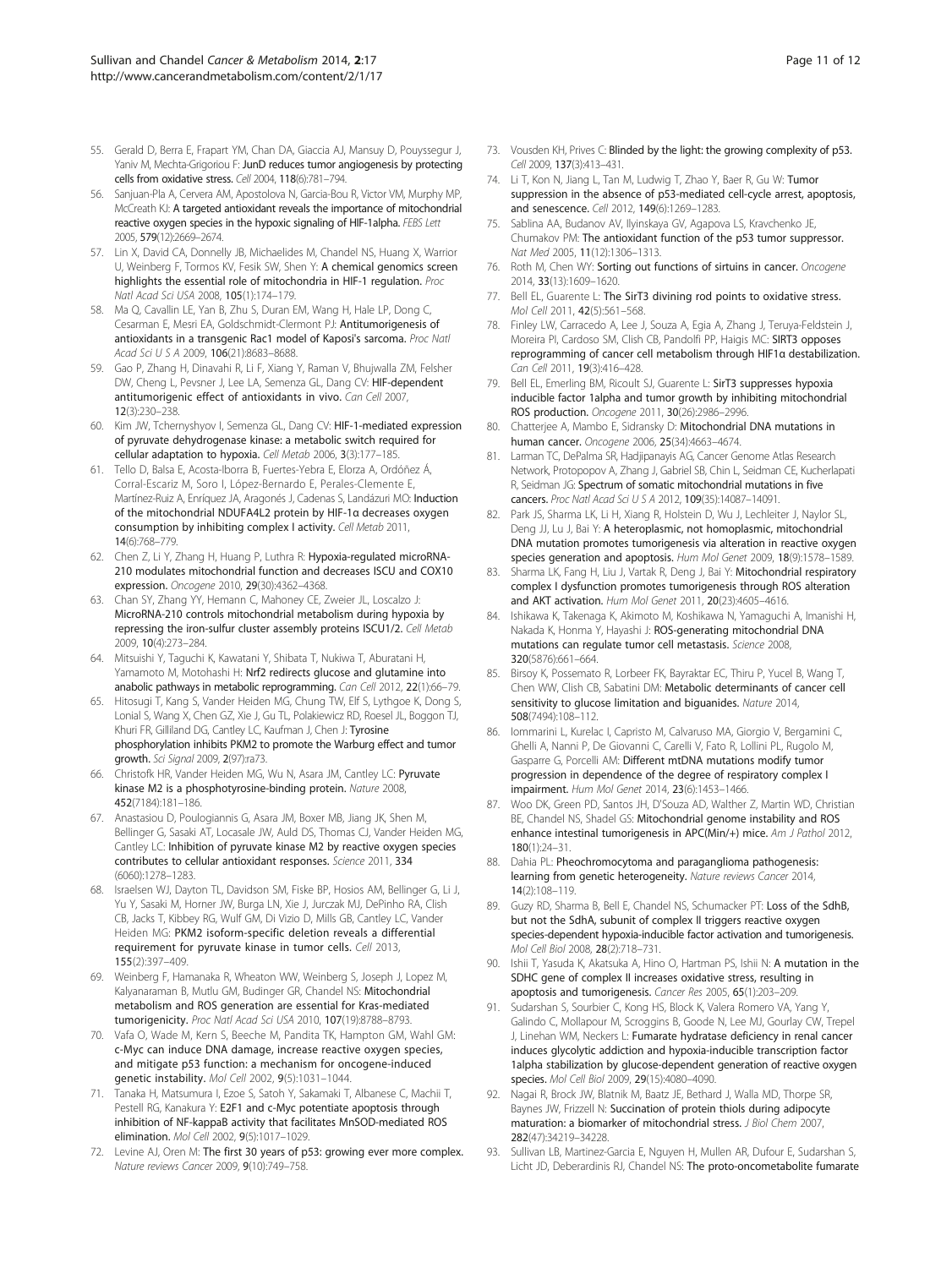- <span id="page-10-0"></span>55. Gerald D, Berra E, Frapart YM, Chan DA, Giaccia AJ, Mansuy D, Pouyssegur J, Yaniv M, Mechta-Grigoriou F: JunD reduces tumor angiogenesis by protecting cells from oxidative stress. Cell 2004, 118(6):781–794.
- 56. Sanjuan-Pla A, Cervera AM, Apostolova N, Garcia-Bou R, Victor VM, Murphy MP, McCreath KJ: A targeted antioxidant reveals the importance of mitochondrial reactive oxygen species in the hypoxic signaling of HIF-1alpha. FEBS Lett 2005, 579(12):2669–2674.
- 57. Lin X, David CA, Donnelly JB, Michaelides M, Chandel NS, Huang X, Warrior U, Weinberg F, Tormos KV, Fesik SW, Shen Y: A chemical genomics screen highlights the essential role of mitochondria in HIF-1 regulation. Proc Natl Acad Sci USA 2008, 105(1):174–179.
- 58. Ma Q, Cavallin LE, Yan B, Zhu S, Duran EM, Wang H, Hale LP, Dong C, Cesarman E, Mesri EA, Goldschmidt-Clermont PJ: Antitumorigenesis of antioxidants in a transgenic Rac1 model of Kaposi's sarcoma. Proc Natl Acad Sci U S A 2009, 106(21):8683–8688.
- 59. Gao P, Zhang H, Dinavahi R, Li F, Xiang Y, Raman V, Bhujwalla ZM, Felsher DW, Cheng L, Pevsner J, Lee LA, Semenza GL, Dang CV: HIF-dependent antitumorigenic effect of antioxidants in vivo. Can Cell 2007, 12(3):230–238.
- 60. Kim JW, Tchernyshyov I, Semenza GL, Dang CV: HIF-1-mediated expression of pyruvate dehydrogenase kinase: a metabolic switch required for cellular adaptation to hypoxia. Cell Metab 2006, 3(3):177–185.
- 61. Tello D, Balsa E, Acosta-Iborra B, Fuertes-Yebra E, Elorza A, Ordóñez Á, Corral-Escariz M, Soro I, López-Bernardo E, Perales-Clemente E, Martínez-Ruiz A, Enríquez JA, Aragonés J, Cadenas S, Landázuri MO: Induction of the mitochondrial NDUFA4L2 protein by HIF-1α decreases oxygen consumption by inhibiting complex I activity. Cell Metab 2011, 14(6):768–779.
- 62. Chen Z, Li Y, Zhang H, Huang P, Luthra R: Hypoxia-regulated microRNA-210 modulates mitochondrial function and decreases ISCU and COX10 expression. Oncogene 2010, 29(30):4362–4368.
- 63. Chan SY, Zhang YY, Hemann C, Mahoney CE, Zweier JL, Loscalzo J: MicroRNA-210 controls mitochondrial metabolism during hypoxia by repressing the iron-sulfur cluster assembly proteins ISCU1/2. Cell Metab 2009, 10(4):273–284.
- 64. Mitsuishi Y, Taguchi K, Kawatani Y, Shibata T, Nukiwa T, Aburatani H, Yamamoto M, Motohashi H: Nrf2 redirects glucose and glutamine into anabolic pathways in metabolic reprogramming. Can Cell 2012, 22(1):66–79.
- 65. Hitosugi T, Kang S, Vander Heiden MG, Chung TW, Elf S, Lythgoe K, Dong S, Lonial S, Wang X, Chen GZ, Xie J, Gu TL, Polakiewicz RD, Roesel JL, Boggon TJ, Khuri FR, Gilliland DG, Cantley LC, Kaufman J, Chen J: Tyrosine phosphorylation inhibits PKM2 to promote the Warburg effect and tumor growth. Sci Signal 2009, 2(97):ra73.
- 66. Christofk HR, Vander Heiden MG, Wu N, Asara JM, Cantley LC: Pyruvate kinase M2 is a phosphotyrosine-binding protein. Nature 2008, 452(7184):181–186.
- 67. Anastasiou D, Poulogiannis G, Asara JM, Boxer MB, Jiang JK, Shen M, Bellinger G, Sasaki AT, Locasale JW, Auld DS, Thomas CJ, Vander Heiden MG, Cantley LC: Inhibition of pyruvate kinase M2 by reactive oxygen species contributes to cellular antioxidant responses. Science 2011, 334 (6060):1278–1283.
- 68. Israelsen WJ, Dayton TL, Davidson SM, Fiske BP, Hosios AM, Bellinger G, Li J, Yu Y, Sasaki M, Horner JW, Burga LN, Xie J, Jurczak MJ, DePinho RA, Clish CB, Jacks T, Kibbey RG, Wulf GM, Di Vizio D, Mills GB, Cantley LC, Vander Heiden MG: PKM2 isoform-specific deletion reveals a differential requirement for pyruvate kinase in tumor cells. Cell 2013, 155(2):397–409.
- 69. Weinberg F, Hamanaka R, Wheaton WW, Weinberg S, Joseph J, Lopez M, Kalyanaraman B, Mutlu GM, Budinger GR, Chandel NS: Mitochondrial metabolism and ROS generation are essential for Kras-mediated tumorigenicity. Proc Natl Acad Sci USA 2010, 107(19):8788–8793.
- 70. Vafa O, Wade M, Kern S, Beeche M, Pandita TK, Hampton GM, Wahl GM: c-Myc can induce DNA damage, increase reactive oxygen species, and mitigate p53 function: a mechanism for oncogene-induced genetic instability. Mol Cell 2002, 9(5):1031–1044.
- 71. Tanaka H, Matsumura I, Ezoe S, Satoh Y, Sakamaki T, Albanese C, Machii T, Pestell RG, Kanakura Y: E2F1 and c-Myc potentiate apoptosis through inhibition of NF-kappaB activity that facilitates MnSOD-mediated ROS elimination. Mol Cell 2002, 9(5):1017–1029.
- 72. Levine AJ, Oren M: The first 30 years of p53: growing ever more complex. Nature reviews Cancer 2009, 9(10):749–758.
- 73. Vousden KH, Prives C: Blinded by the light: the growing complexity of p53. Cell 2009, 137(3):413–431.
- 74. Li T, Kon N, Jiang L, Tan M, Ludwig T, Zhao Y, Baer R, Gu W: Tumor suppression in the absence of p53-mediated cell-cycle arrest, apoptosis, and senescence. Cell 2012, 149(6):1269–1283.
- 75. Sablina AA, Budanov AV, Ilyinskaya GV, Agapova LS, Kravchenko JE, Chumakov PM: The antioxidant function of the p53 tumor suppressor. Nat Med 2005, 11(12):1306–1313.
- 76. Roth M, Chen WY: Sorting out functions of sirtuins in cancer. Oncogene 2014, 33(13):1609–1620.
- 77. Bell EL, Guarente L: The SirT3 divining rod points to oxidative stress. Mol Cell 2011, 42(5):561–568.
- 78. Finley LW, Carracedo A, Lee J, Souza A, Egia A, Zhang J, Teruya-Feldstein J, Moreira PI, Cardoso SM, Clish CB, Pandolfi PP, Haigis MC: SIRT3 opposes reprogramming of cancer cell metabolism through HIF1α destabilization. Can Cell 2011, 19(3):416–428.
- 79. Bell EL, Emerling BM, Ricoult SJ, Guarente L: SirT3 suppresses hypoxia inducible factor 1alpha and tumor growth by inhibiting mitochondrial ROS production. Oncogene 2011, 30(26):2986–2996.
- 80. Chatterjee A, Mambo E, Sidransky D: Mitochondrial DNA mutations in human cancer. Oncogene 2006, 25(34):4663–4674.
- Larman TC, DePalma SR, Hadjipanayis AG, Cancer Genome Atlas Research Network, Protopopov A, Zhang J, Gabriel SB, Chin L, Seidman CE, Kucherlapati R, Seidman JG: Spectrum of somatic mitochondrial mutations in five cancers. Proc Natl Acad Sci U S A 2012, 109(35):14087–14091.
- 82. Park JS, Sharma LK, Li H, Xiang R, Holstein D, Wu J, Lechleiter J, Naylor SL, Deng JJ, Lu J, Bai Y: A heteroplasmic, not homoplasmic, mitochondrial DNA mutation promotes tumorigenesis via alteration in reactive oxygen species generation and apoptosis. Hum Mol Genet 2009, 18(9):1578–1589.
- 83. Sharma LK, Fang H, Liu J, Vartak R, Deng J, Bai Y: Mitochondrial respiratory complex I dysfunction promotes tumorigenesis through ROS alteration and AKT activation. Hum Mol Genet 2011, 20(23):4605–4616.
- 84. Ishikawa K, Takenaga K, Akimoto M, Koshikawa N, Yamaguchi A, Imanishi H, Nakada K, Honma Y, Hayashi J: ROS-generating mitochondrial DNA mutations can regulate tumor cell metastasis. Science 2008, 320(5876):661–664.
- 85. Birsoy K, Possemato R, Lorbeer FK, Bayraktar EC, Thiru P, Yucel B, Wang T, Chen WW, Clish CB, Sabatini DM: Metabolic determinants of cancer cell sensitivity to glucose limitation and biguanides. Nature 2014, 508(7494):108–112.
- 86. Iommarini L, Kurelac I, Capristo M, Calvaruso MA, Giorgio V, Bergamini C, Ghelli A, Nanni P, De Giovanni C, Carelli V, Fato R, Lollini PL, Rugolo M, Gasparre G, Porcelli AM: Different mtDNA mutations modify tumor progression in dependence of the degree of respiratory complex I impairment. Hum Mol Genet 2014, 23(6):1453–1466.
- 87. Woo DK, Green PD, Santos JH, D'Souza AD, Walther Z, Martin WD, Christian BE, Chandel NS, Shadel GS: Mitochondrial genome instability and ROS enhance intestinal tumorigenesis in APC(Min/+) mice. Am J Pathol 2012, 180(1):24–31.
- 88. Dahia PL: Pheochromocytoma and paraganglioma pathogenesis: learning from genetic heterogeneity. Nature reviews Cancer 2014, 14(2):108–119.
- 89. Guzy RD, Sharma B, Bell E, Chandel NS, Schumacker PT: Loss of the SdhB, but not the SdhA, subunit of complex II triggers reactive oxygen species-dependent hypoxia-inducible factor activation and tumorigenesis. Mol Cell Biol 2008, 28(2):718–731.
- 90. Ishii T, Yasuda K, Akatsuka A, Hino O, Hartman PS, Ishii N: A mutation in the SDHC gene of complex II increases oxidative stress, resulting in apoptosis and tumorigenesis. Cancer Res 2005, 65(1):203–209.
- 91. Sudarshan S, Sourbier C, Kong HS, Block K, Valera Romero VA, Yang Y, Galindo C, Mollapour M, Scroggins B, Goode N, Lee MJ, Gourlay CW, Trepel J, Linehan WM, Neckers L: Fumarate hydratase deficiency in renal cancer induces glycolytic addiction and hypoxia-inducible transcription factor 1alpha stabilization by glucose-dependent generation of reactive oxygen species. Mol Cell Biol 2009, 29(15):4080-4090.
- 92. Nagai R, Brock JW, Blatnik M, Baatz JE, Bethard J, Walla MD, Thorpe SR, Baynes JW, Frizzell N: Succination of protein thiols during adipocyte maturation: a biomarker of mitochondrial stress. J Biol Chem 2007, 282(47):34219–34228.
- 93. Sullivan LB, Martinez-Garcia E, Nguyen H, Mullen AR, Dufour E, Sudarshan S, Licht JD, Deberardinis RJ, Chandel NS: The proto-oncometabolite fumarate